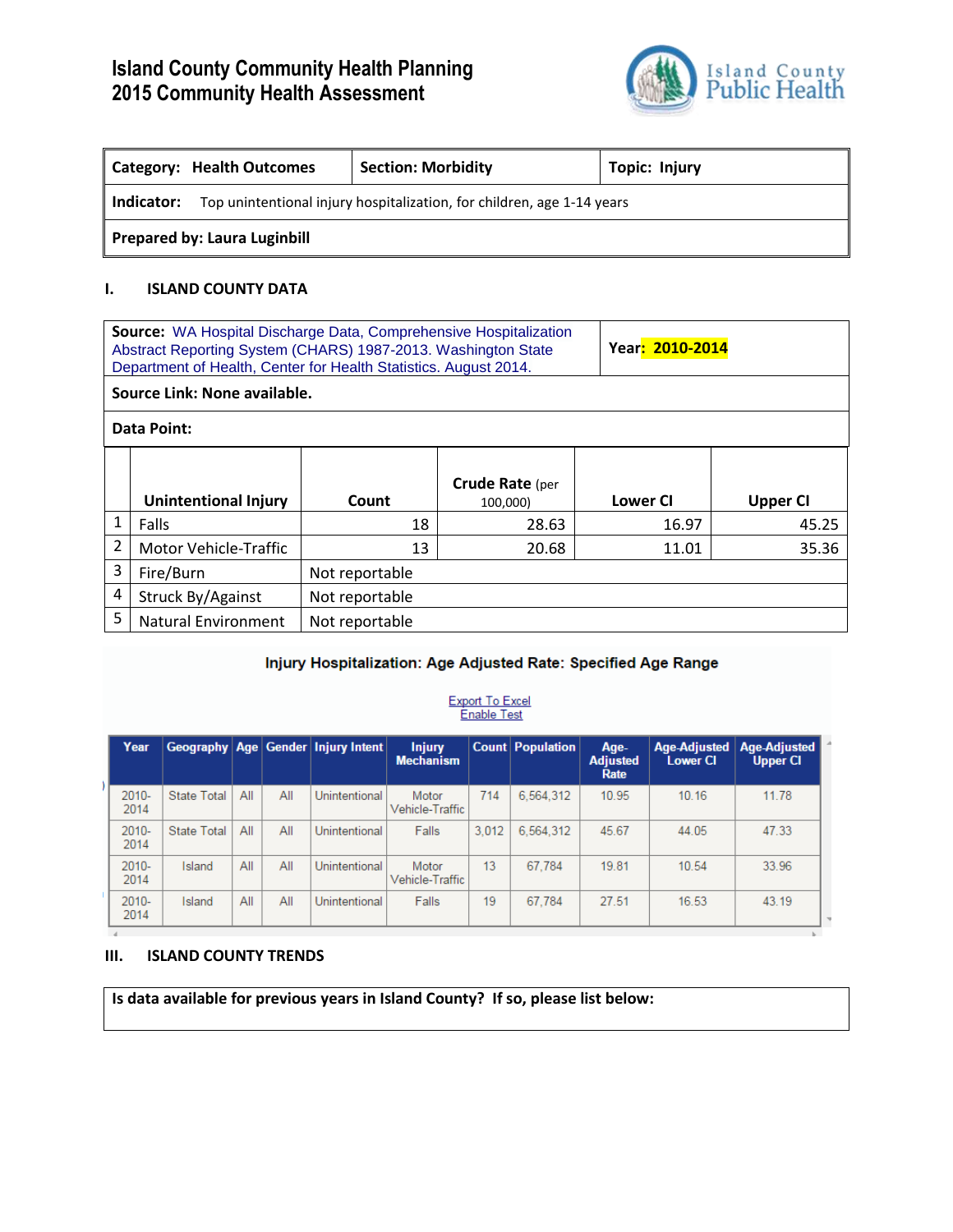# **Island County Community Health Planning 2015 Community Health Assessment**



| <b>Category: Health Outcomes</b>                                                     |  | <b>Section: Morbidity</b> | Topic: Injury |  |  |  |
|--------------------------------------------------------------------------------------|--|---------------------------|---------------|--|--|--|
| Top unintentional injury hospitalization, for children, age 1-14 years<br>Indicator: |  |                           |               |  |  |  |
| <b>Prepared by: Laura Luginbill</b>                                                  |  |                           |               |  |  |  |

### **I. ISLAND COUNTY DATA**

| <b>Source:</b> WA Hospital Discharge Data, Comprehensive Hospitalization<br>Abstract Reporting System (CHARS) 1987-2013. Washington State<br>Department of Health, Center for Health Statistics. August 2014. |                              |                |                                    | Year: 2010-2014 |                 |  |  |
|---------------------------------------------------------------------------------------------------------------------------------------------------------------------------------------------------------------|------------------------------|----------------|------------------------------------|-----------------|-----------------|--|--|
|                                                                                                                                                                                                               | Source Link: None available. |                |                                    |                 |                 |  |  |
|                                                                                                                                                                                                               | Data Point:                  |                |                                    |                 |                 |  |  |
|                                                                                                                                                                                                               | Unintentional Injury         | Count          | <b>Crude Rate (per</b><br>100,000) | <b>Lower CI</b> | <b>Upper CI</b> |  |  |
| 1                                                                                                                                                                                                             | Falls                        | 18             | 28.63                              | 16.97           | 45.25           |  |  |
| 2                                                                                                                                                                                                             | <b>Motor Vehicle-Traffic</b> | 13             | 20.68                              | 11.01           | 35.36           |  |  |
| 3                                                                                                                                                                                                             | Fire/Burn                    | Not reportable |                                    |                 |                 |  |  |
| 4                                                                                                                                                                                                             | Struck By/Against            | Not reportable |                                    |                 |                 |  |  |
| 5                                                                                                                                                                                                             | <b>Natural Environment</b>   | Not reportable |                                    |                 |                 |  |  |

## Injury Hospitalization: Age Adjusted Rate: Specified Age Range

#### **Export To Excel Enable Test**

| Year             |                    |     |     | Geography Age Gender Injury Intent | <b>Injury</b><br><b>Mechanism</b> |       | <b>Count Population</b> | Age-<br><b>Adjusted</b><br>Rate | <b>Lower CI</b> | Age-Adjusted Age-Adjusted<br><b>Upper CI</b> |
|------------------|--------------------|-----|-----|------------------------------------|-----------------------------------|-------|-------------------------|---------------------------------|-----------------|----------------------------------------------|
| $2010 -$<br>2014 | <b>State Total</b> | All | All | Unintentional                      | Motor<br>Vehicle-Traffic          | 714   | 6.564.312               | 10.95                           | 10.16           | 11.78                                        |
| $2010 -$<br>2014 | <b>State Total</b> | All | All | Unintentional                      | Falls                             | 3.012 | 6.564.312               | 45.67                           | 44.05           | 47.33                                        |
| $2010 -$<br>2014 | Island             | All | All | Unintentional                      | Motor<br>Vehicle-Traffic          | 13    | 67.784                  | 19.81                           | 10.54           | 33.96                                        |
| $2010 -$<br>2014 | Island             | All | All | Unintentional                      | Falls                             | 19    | 67.784                  | 27.51                           | 16.53           | 43.19                                        |

#### **III. ISLAND COUNTY TRENDS**

 $\mathcal{A}$ 

**Is data available for previous years in Island County? If so, please list below:**